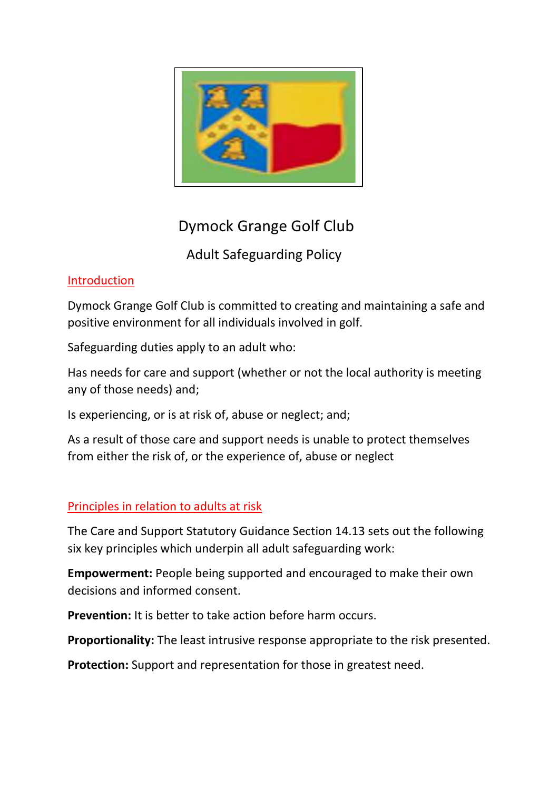

# Dymock Grange Golf Club

## Adult Safeguarding Policy

### Introduction

Dymock Grange Golf Club is committed to creating and maintaining a safe and positive environment for all individuals involved in golf.

Safeguarding duties apply to an adult who:

Has needs for care and support (whether or not the local authority is meeting any of those needs) and;

Is experiencing, or is at risk of, abuse or neglect; and;

As a result of those care and support needs is unable to protect themselves from either the risk of, or the experience of, abuse or neglect

## Principles in relation to adults at risk

The Care and Support Statutory Guidance Section 14.13 sets out the following six key principles which underpin all adult safeguarding work:

**Empowerment:** People being supported and encouraged to make their own decisions and informed consent.

**Prevention:** It is better to take action before harm occurs.

**Proportionality:** The least intrusive response appropriate to the risk presented.

**Protection:** Support and representation for those in greatest need.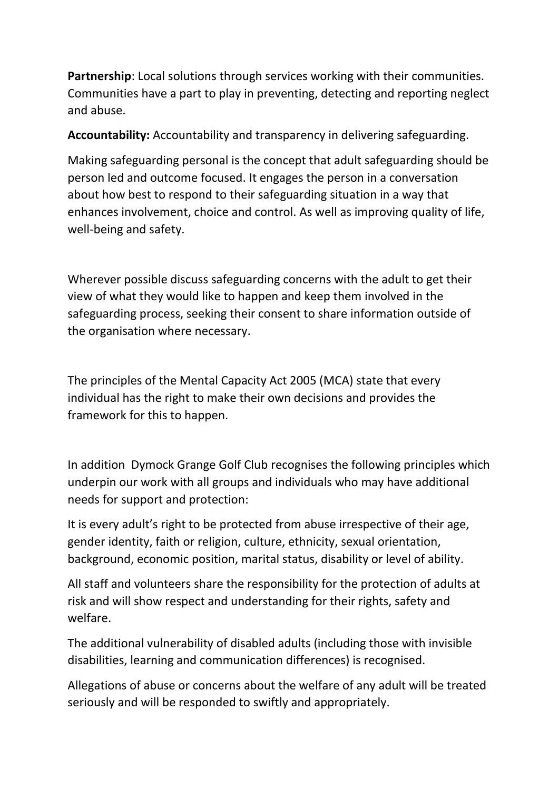**Partnership**: Local solutions through services working with their communities. Communities have a part to play in preventing, detecting and reporting neglect and abuse.

**Accountability:** Accountability and transparency in delivering safeguarding.

Making safeguarding personal is the concept that adult safeguarding should be person led and outcome focused. It engages the person in a conversation about how best to respond to their safeguarding situation in a way that enhances involvement, choice and control. As well as improving quality of life, well-being and safety.

Wherever possible discuss safeguarding concerns with the adult to get their view of what they would like to happen and keep them involved in the safeguarding process, seeking their consent to share information outside of the organisation where necessary.

The principles of the Mental Capacity Act 2005 (MCA) state that every individual has the right to make their own decisions and provides the framework for this to happen.

In addition Dymock Grange Golf Club recognises the following principles which underpin our work with all groups and individuals who may have additional needs for support and protection:

It is every adult's right to be protected from abuse irrespective of their age, gender identity, faith or religion, culture, ethnicity, sexual orientation, background, economic position, marital status, disability or level of ability.

All staff and volunteers share the responsibility for the protection of adults at risk and will show respect and understanding for their rights, safety and welfare.

The additional vulnerability of disabled adults (including those with invisible disabilities, learning and communication differences) is recognised.

Allegations of abuse or concerns about the welfare of any adult will be treated seriously and will be responded to swiftly and appropriately.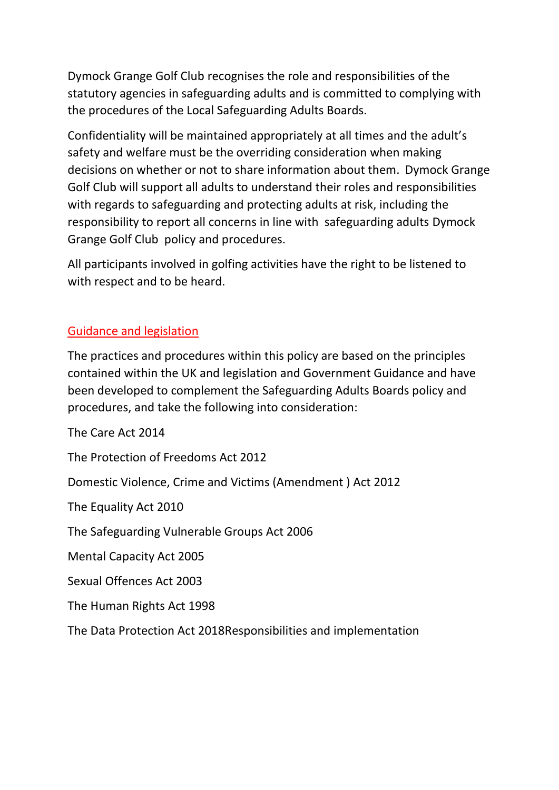Dymock Grange Golf Club recognises the role and responsibilities of the statutory agencies in safeguarding adults and is committed to complying with the procedures of the Local Safeguarding Adults Boards.

Confidentiality will be maintained appropriately at all times and the adult's safety and welfare must be the overriding consideration when making decisions on whether or not to share information about them. Dymock Grange Golf Club will support all adults to understand their roles and responsibilities with regards to safeguarding and protecting adults at risk, including the responsibility to report all concerns in line with safeguarding adults Dymock Grange Golf Club policy and procedures.

All participants involved in golfing activities have the right to be listened to with respect and to be heard.

#### Guidance and legislation

The practices and procedures within this policy are based on the principles contained within the UK and legislation and Government Guidance and have been developed to complement the Safeguarding Adults Boards policy and procedures, and take the following into consideration:

The Care Act 2014

The Protection of Freedoms Act 2012

Domestic Violence, Crime and Victims (Amendment ) Act 2012

The Equality Act 2010

The Safeguarding Vulnerable Groups Act 2006

Mental Capacity Act 2005

Sexual Offences Act 2003

The Human Rights Act 1998

The Data Protection Act 2018Responsibilities and implementation